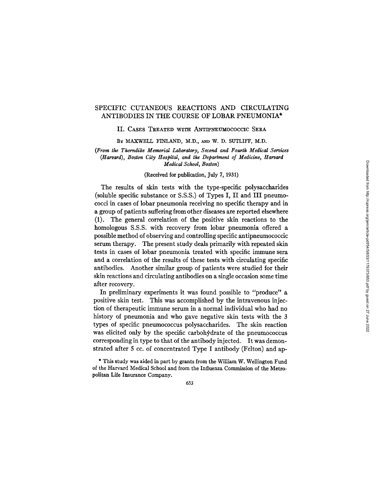# SPECIFIC CUTANEOUS REACTIONS AND CIRCULATING ANTIBODIES IN THE COURSE OF LOBAR PNEUMONIA\*

#### II. CASES TREATED WITH ANTIPNEUMOCOCCIC SERA

BY MAXWELL FINLAND, M.D., AND W. D. SUTLIFF, M.D.

## *(From tke Thorndike Memorial Laboratory, Second and Fourtk Medical Services (Harvard), Boston City Hospital, and tke Department of Medicine, Harvard Medical School, Boston)*

## (Received for publication, July 7, 1931)

The results of skin tests with the type-specific polysaccharides (soluble specific substance or S.S.S.) of Types I, II and III pneumococci in cases of lobar pneumonia receiving no specific therapy and in a group of patients suffering from other diseases are reported elsewhere (1). The general correlation of the positive skin reactions to the homologous S.S.S. with recovery from lobar pneumonia offered a possible method of observing and controlling specific antipneumococcic serum therapy. The present study deals primarily with repeated skin tests in cases of lobar pneumonia treated with specific immune sera and a correlation of the results of these tests with circulating specific antibodies. Another similar group of patients were studied for their skin reactions and circulating antibodies on a single occasion some time after recovery.

In preliminary experiments it was found possible to "produce" a positive skin test. This was accomplished by the intravenous injection of therapeutic immune serum in a normal individual who had no history of pneumonia and who gave negative skin tests with the 3 types of specific pneumococcus polysaccharides. The skin reaction was elicited only by the specific carbohydrate of the pneumococcus corresponding in type to that of the antibody injected. It was demonstrated after 5 cc. of concentrated Type I antibody (Felton) and ap-

\* This study was aided in part by grants from the William W. Wellington Fund of the Harvard Medical School and from the Influenza Commission of the Metropolitan Life Insurance Company.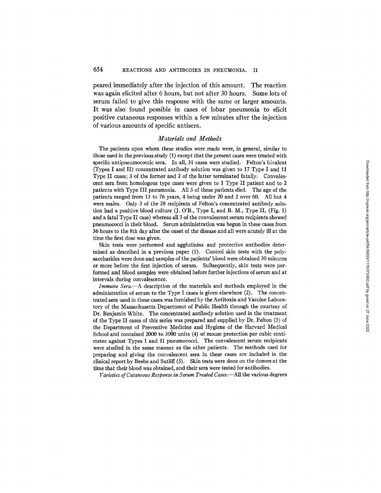peared immediately after the injection of this amount. The reaction was again elicited after 6 hours, but not after 30 hours. Some lots of serum failed to give this response with the same or larger amounts. It was also found possible in cases of lobar pneumonia to elicit positive cutaneous responses within a few minutes after the injection of various amounts of specific antisera.

## *Materials and Methods*

The patients upon whom these studies were made were, in general, similar to those used in the previous study (1) except that the present cases were treated with specific antipneumococcic sera. In all, 31 cases were studied. Felton's bivalent (Types I and II) concentrated antibody solution was given to 17 Type I and 11 Type II cases; 3 of the former and 2 of the latter terminated fatally. Convalescent sera from homologous type cases were given to 1 Type II patient and to 2 patients with Type III pneumonia. All 3 of these patients died. The age of the patients ranged from 13 to 76 years, 4 being under 20 and 2 over 60. All but 4 were males. Only 3 of the 28 recipients of Felton's concentrated antibody solution had a positive blood culture  $(I, O'B, Tvpe I, and B, M, Tvpe II, (Fig. 1)$ and a fatal Type II case) whereas all 3 of the convalescent serum recipients showed pneumococci in their blood. Serum administration was begun in these cases from 36 hours to the 8th day after the onset of the disease and all were acutely ill at the time the first dose was given.

Skin tests were performed and agglutinins and protective antibodies determined as described in a previous paper (1). Control skin tests with the polysaccharides were done and samples of the patients' blood were obtained 30 minutes or more before the first injection of serum. Subsequently, skin tests were performed and blood samples were obtained before further injections of serum and at intervals during convalescence.

*Immune Sera.--A* description of the materials and methods employed in the administration of serum to the Type I cases is given elsewhere (2). The concentrated sera used in these cases was furnished by the Antitoxin and Vaccine Laboratory of the Massachusetts Department of Public Health through the courtesy of Dr. Benjamin White. The concentrated antibody solution used in the treatment of the Type II cases of this series was prepared and supplied by Dr. Felton (3) of the Department of Preventive Medicine and Hygiene of the Harvard Medical School and contained 2000 to 3000 units (4) of mouse protection per cubic centimeter against Types I and II pneumococci. The convalescent serum recipients were studied in the same manner as the other patients. The methods used for preparing and giving the convalescent sera in these cases are included in the clinical report by Beebe and Sutliff (5). Skin tests were done on the donors at the time that their blood was obtained, and their sera were tested for antibodies.

*Varieties of Cutaneous Response in Serum Treated Cases.*—All the various degrees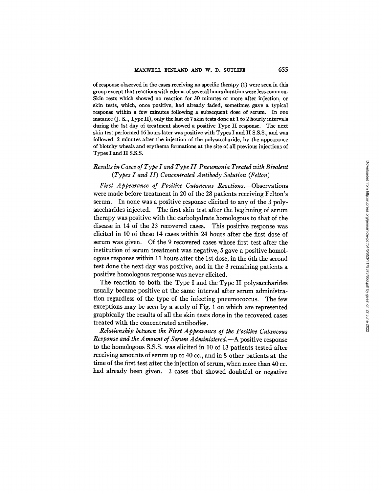of response observed in the cases receiving no specific therapy (1) were seen in this group except that reactions with edema of several hours duration were less common. Skin tests which showed no reaction for 30 minutes or more after injection, or skin tests, which, once positive, had already faded, sometimes gave a typical response within a few minutes following a subsequent dose of serum. In one instance (J. K., Type II), only the last of 7 skin tests done at I to 2 hourly intervals during the 1st day of treatment showed a positive Type II response. The next skin test performed 16 hours later was positive with Types I and II S.S.S., and was followed, 2 minutes after the injection of the polysaccharide, by the appearance of blotchy wheals and erythema formations at the site of all previous injections of Types I and II S.S.S.

# *Results in Cases of Type I and Type II Pneumonia Treated with Bivalent (Types I and II) Concentrated Antibody Solution (Felton)*

*First Appearance of Positive Cutaneous Reactions.--Observations*  were made before treatment in 20 of the 28 patients receiving Felton's serum. In none was a positive response elicited to any of the 3 polysaccharides injected. The first skin test after the beginning of serum therapy was positive with the carbohydrate homologous to that of the disease in 14 of the 23 recovered cases. This positive response was elicited in 10 of these 14 cases within 24 hours after the first dose of serum was given. Of the 9 recovered cases whose first test after the institution of serum treatment was negative, 5 gave a positive homologous response within 11 hours after the 1st dose, in the 6th the second test done the next day was positive, and in the 3 remaining patients a positive homologous response was never elicited.

The reaction to both the Type I and the Type II polysaccharides usually became positive at the same interval after serum administration regardless of the type of the infecting pneumococcus. The few exceptions may be seen by a study of Fig. 1 on which are represented graphically the results of all the skin tests done in the recovered cases treated with the concentrated antibodies.

*Relationship between the First Appearance of the Positive Cutaneous Response and the Amount of Serum A dministered.--A* positive response to the homologous S.S.S. was elicited in 10 of 13 patients tested after receiving amounts of serum up to 40 cc., and in 8 other patients at the time of the first test after the injection of serum, when more than 40 cc. had already been given. 2 cases that showed doubtful or negative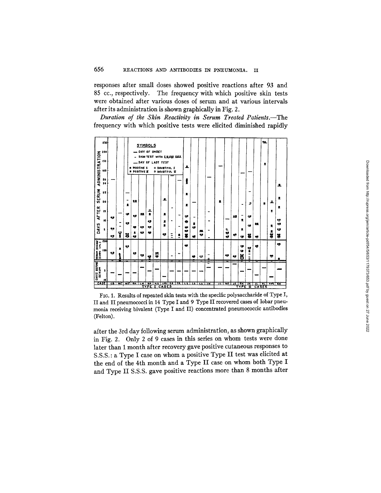responses after small doses showed positive reactions after 93 and 85 cc., respectively. The frequency with which positive skin tests were obtained after various doses of serum and at various intervals after its administration is shown graphically in Fig. 2.

*Duration of the Skin Reactivity in Serum Treated Patients.--The*  frequency with which positive tests were elicited diminished rapidly



FIG. 1. Results of repeated skin tests with the specific polysaccharide of Type I, II and II pneumococci in 14 Type I and 9 Type II recovered cases of lobar pneumonia receiving bivalent (Type I and II) concentrated pneumococcic antibodies (Felton).

after the 3rd day following serum administration, as shown graphically in Fig. 2. Only 2 of 9 cases in this series on whom tests were done later than 1 month after recovery gave positive cutaneous responses to S.S.S. : a Type I case on whom a positive Type II test was elicited at the end of the 4th month and a Type II case on whom both Type I and Type II S.S.S. gave positive reactions more than 8 months after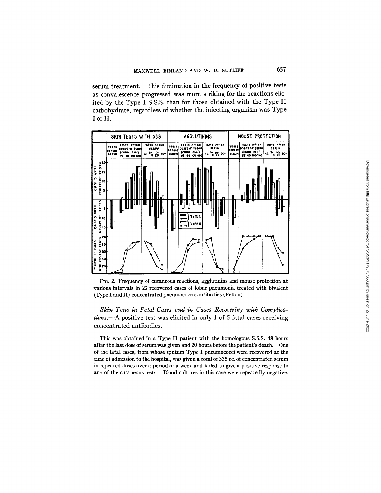serum treatment. This diminution in the frequency of positive tests as convalescence progressed was more striking for the reactions elicited by the Type I S.S.S. than for those obtained with the Type II carbohydrate, regardless of whether the infecting organism was Type I or II.





Skin Tests in Fatal Cases and in Cases Recovering with Complica*tions*.—A positive test was elicited in only 1 of 5 fatal cases receiving concentrated antibodies.

This was obtained in a Type II patient with the homologous S.S.S. 48 hours after the last dose of serum was given and 20 hours before the patient's death. One of the fatal cases, from whose sputum Type I pneumococci were recovered at the time of admission to the hospital, was given a total of 335 cc. of concentrated serum in repeated doses over a period of a week and failed to give a positive response to any of the cutaneous tests. Blood cultures in this case were repeatedly negative.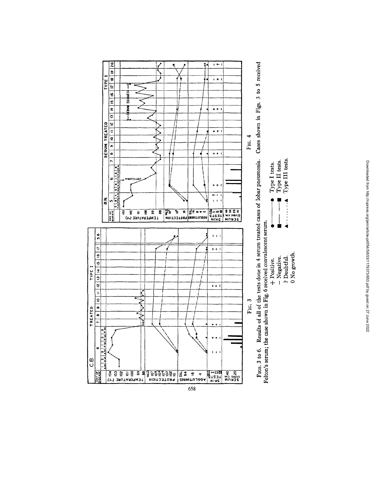



| $\bullet$ Type I tests. | $\blacksquare$ $\blacksquare$ $\blacksquare$ Type II tests. | $\blacktriangle$ $\blacktriangle$ Type III tests. |              |
|-------------------------|-------------------------------------------------------------|---------------------------------------------------|--------------|
|                         |                                                             |                                                   |              |
| + Positive.             | - Negative.                                                 | <sup>7</sup> Doubtful.                            | 0 No growth. |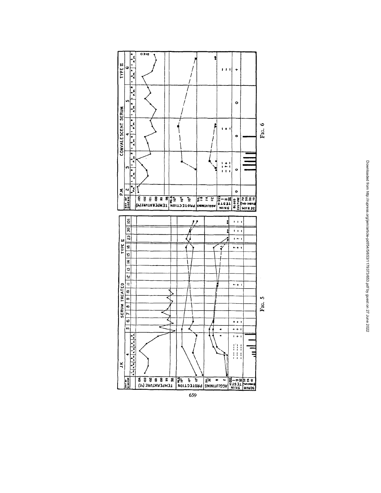

| ֠                          |
|----------------------------|
|                            |
|                            |
|                            |
|                            |
|                            |
|                            |
|                            |
|                            |
|                            |
|                            |
|                            |
|                            |
|                            |
|                            |
|                            |
|                            |
|                            |
| j                          |
|                            |
|                            |
|                            |
| ֕                          |
|                            |
|                            |
|                            |
|                            |
|                            |
|                            |
|                            |
|                            |
|                            |
|                            |
| i                          |
|                            |
| <b>Service Service</b>     |
|                            |
| ì                          |
|                            |
|                            |
|                            |
| ı                          |
|                            |
|                            |
|                            |
| þ                          |
| i                          |
|                            |
|                            |
|                            |
| .<br>.<br>.<br>.<br>.<br>i |
|                            |
|                            |
|                            |
|                            |
|                            |
|                            |
|                            |
|                            |
| ì                          |
|                            |
|                            |
|                            |
| こくこう こくりくりくり               |
|                            |
|                            |
| j<br>j                     |
|                            |

659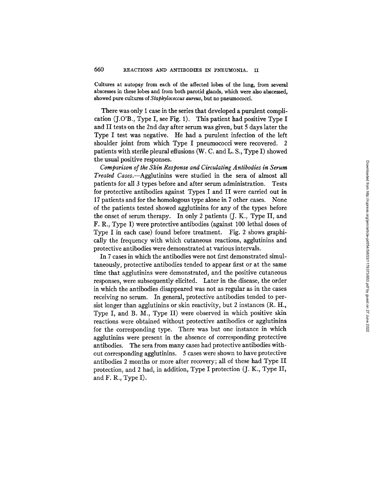Cultures at autopsy from each of the affected lobes of the lung, from several abscesses in these lobes and from both parotid glands, which were also abscessed, showed pure cultures of *Staphylococcus aureus,* but no pneumococci.

There was only 1 case in the series that developed a purulent complication (J.O'B., Type I, see Fig. I). This patient had positive Type I and II tests on the 2nd day after serum was given, but 5 days later the Type I test was negative. He had a purulent infection of the left shoulder joint from which Type I pneumococci were recovered. 2 patients with sterile pleural effusions (W. C. and L. S., Type I) showed the usual positive responses.

*Comparison of the Skin Response and Circulating Antibodies in Serum Treated Cases.--Agglutinins* were studied in the sera of almost all patients for all 3 types before and after serum administration. Tests for protective antibodies against Types I and II were carried out in 17 patients and for the homologous type alone in 7 other cases. None of the patients tested showed agglutinins for any of the types before the onset of serum therapy. In only 2 patients (J. K., Type II, and F. R., Type I) were protective antibodies (against 100 lethal doses of Type I in each case) found before treatment. Fig. 2 shows graphically the frequency with which cutaneous reactions, agglutinins and protective antibodies were demonstrated at various intervals.

In 7 cases in which the antibodies were not first demonstrated simultaneously, protective antibodies tended to appear first or at the same time that agglutinins were demonstrated, and the positive cutaneous responses, were subsequently elicited. Later in the disease, the order in which the antibodies disappeared was not as regular as in the cases receiving no serum. In general, protective antibodies tended to persist longer than agglutinins or skin reactivity, but 2 instances (R. H., Type I, and B. M., Type II) were observed in which positive skin reactions were obtained without protective antibodies or agglutinins for the corresponding type. There was but one instance in which agglutinins were present in the absence of corresponding protective antibodies. The sera from many cases had protective antibodies without corresponding agglutinins. 5 cases were shown to have protective antibodies 2 months or more after recovery; all of these had Type II protection, and 2 had, in addition, Type I protection (J. K., Type II, and F. R., Type I).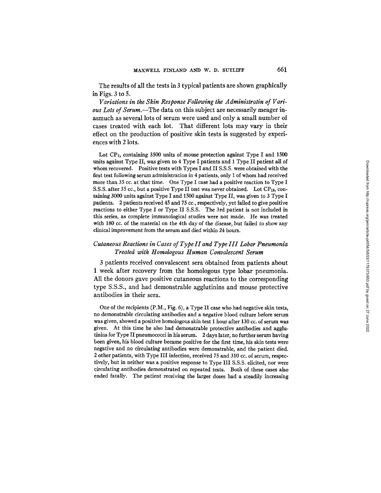The results of all the tests in 3 typical patients are shown graphically in Figs. 3 to 5.

*Variations in the Skin Response Following the Administratin of Various Lots of Serum.--The* data on this subject are necessarily meager inasmuch as several lots of serum were used and only a small number of cases treated with each lot. That different lots may vary in their effect on the production of positive skin tests is suggested by experiences with 2 lots.

Lot  $CP<sub>7</sub>$ , containing 3500 units of mouse protection against Type I and 1500 units against Type II, was given to 4 Type I patients and 1 Type II patient all of whom recovered. Positive tests with Types I and II S.S.S. were obtained with the first test following serum administration in 4 patients, only 1 of whom had received more than 35 cc. at that time. One Type I case had a positive reaction to Type I S.S.S. after 35 cc., but a positive Type II test was never obtained. Lot  $CP_{13}$ , containing 3000 units against Type I and 1500 against Type II, was given to 3 Type I patients. 2 patients received 45 and 75 cc., respectively, yet failed to give positive reactions to either Type I or Type II S.S.S. The 3rd patient is not included in this series, as complete immunological studies were not made. He was treated with 180 cc. of the material on the 4th day of the disease, but failed to show any clinical improvement from the serum and died within 24 hours.

# *Cutaneous Reactions in Cases of Type II and Type III Lobar Pneumonia Treated with Homologous Human Convalescent Serum*

3 patients received convalescent sera obtained from patients about 1 week after recovery from the homologous type lobar pneumonia. All the donors gave positive cutaneous reactions to the corresponding type S.S.S., and had demonstrable agglutinins and mouse protective antibodies in their sera.

One of the recipients (P.M., Fig. 6), a Type II case who had negative skin tests, no demonstrable circulating antibodies and a negative blood culture before serum was given, showed a positive homologous skin test 1 hour after 130 cc. of serum was given. At this time he also had demonstrable protective antibodies and aggiutinins for Type II pneumococci in his serum. 2 days later, no further serum having been given, his blood culture became positive for the first time, his skin tests were negative and no circulating antibodies were demonstrable, and the patient died. 2 other patients, with Type III infection, received 75 and 310 cc. of serum, respectively, but in neither was a positive response to Type III S.S.S. elicited, nor were circulating antibodies demonstrated on repeated tests. Both of these cases also ended fatally. The patient receiving the larger doses had a steadily increasing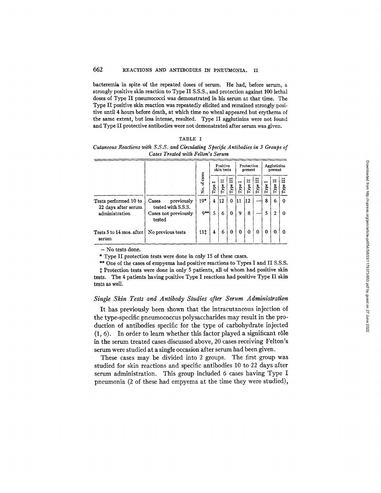bacteremia in spite of the repeated doses of serum. He had, before serum, a strongly positive skin reaction to Type II S.S.S., and protection against 100 lethal doses of Type II pneumococci was demonstrated in his serum at that time. The Type II positive skin reaction was repeatedly elicited and remained strongly positive until 4 hours before death, at which time no wheal appeared but erythema of the same extent, but less intense, resulted. Type II agglutinins were not found and Type II protective antibodies were not demonstrated after serum was given.

| ٠<br>ч<br>. . |  |
|---------------|--|
|---------------|--|

*Cutaneous Reactions with S.S.S. and Circulating Specific Antibodies in 3 Groups of Cases Treated with Felton's Serum* 

|                                                                |                                                                             |                | Positive<br>skin tests                                       |           | Protection<br>present |                                                         | Agglutinins<br>present |                       |                        |                        |                      |
|----------------------------------------------------------------|-----------------------------------------------------------------------------|----------------|--------------------------------------------------------------|-----------|-----------------------|---------------------------------------------------------|------------------------|-----------------------|------------------------|------------------------|----------------------|
|                                                                |                                                                             | of cases<br>ż. | $\blacksquare$<br>$\mathbf{T}\mathbf{y}\mathbf{p}\mathbf{e}$ | Ħ<br>Type | Ħ<br>${\bf Type}$     | $\blacksquare$<br>$\ensuremath{\mathrm{Type}\!}\xspace$ | Ħ<br>$\mathbf{Type}$   | $\Xi$<br>${\rm Type}$ | $\blacksquare$<br>Type | Ħ<br>Type <sup>:</sup> | Ħ<br><b>Type</b>     |
| Tests performed 10 to<br>22 days after serum<br>administration | previously<br>Cases<br>tested with S.S.S.<br>Cases not previously<br>tested | 19*<br>$9**$   | 4<br>5                                                       | 12<br>6   | $\Omega$<br>0         | 11<br>9                                                 | 12<br>8                |                       | 8<br>5                 | 6<br>2                 | $\Omega$<br>$\Omega$ |
| Tests 5 to 14 mos. after<br>serum                              | No previous tests                                                           | 11‡            | 4                                                            | 6         | 0                     | 0                                                       | $\bf{0}$               | $\bf{0}$              | 0                      | 0                      | 0                    |

**-** No tests done.

\* Type II protection tests were done in only 15 of these cases.

\*\* One of the cases of empyema had positive reactions to Types I and II S.S.S.  $\ddagger$  Protection tests were done in only 5 patients, all of whom had positive skin tests. The 4 patients having positive Type I reactions had positive Type II skin tests as well.

### *Single Skin Tests and Antibody Studies after Serum Administration*

It has previously been shown that the intracutaneous injection of the type-specific pneumococcus polysaccharides may result in the production of antibodies specific for the type of carbohydrate injected  $(1, 6)$ . In order to learn whether this factor played a significant rôle in the serum treated cases discussed above, 20 cases receiving Felton's serum were studied at a single occasion after serum had been given.

These cases may be divided into 2 groups. The first group was studied for skin reactions and specific antibodies 10 to 22 days after serum administration. This group included 6 cases having Type I pneumonia (2 of these had empyema at the time they were studied),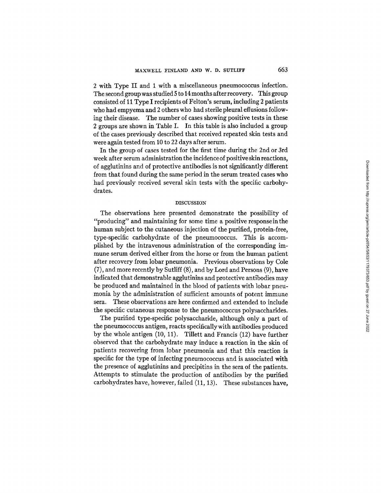2 with Type II and 1 with a miscellaneous pneumococcus infection. The second group was studied 5 to 14 months after recovery. This group consisted of 11 Type I recipients of Felton's serum, including 2 patients who had empyema and 2 others who had sterile pleural effusions following their disease. The number of cases showing positive tests in these 2 groups are shown in Table I. In this table is also included a group of the cases previously described that received repeated skin tests and were again tested from 10 to 22 days after serum.

In the group of cases tested for the first time during the 2nd or 3rd week after serum administration the incidence of positive skin reactions, of agglutinins and of protective antibodies is not significantly different from that found during the same period in the serum treated cases who had previously received several skin tests with the specific carbohydrates.

#### DISCUSSION

The observations here presented demonstrate the possibility of "producing" and maintaining for some time a positive response in the human subject to the cutaneous injection of the purified, protein-free, type-specific carbohydrate of the pneumococcus. This is accomplished by the intravenous administration of the corresponding immune serum derived either from the horse or from the human patient after recovery from lobar pneumonia. Previous observations by Cole (7), and more recently by Sutliff (8), and by Lord and Persons (9), have indicated that demonstrable agglutinins and protective antibodies may be produced and maintained in the blood of patients with lobar pneumonia by the administration of sufficient amounts of potent immune sera. These observations are here confirmed and extended to include the specific cutaneous response to the pneumococcus polysaccharides.

The purified type-specific polysaccharide, although only a part of the pneumococcus antigen, reacts specifically with antibodies produced by the whole antigen (10, 11). Tillett and Francis (12) have further observed that the carbohydrate may induce a reaction in the skin of patients recovering from lobar pneumonia and that this reaction is specific for the type of infecting pneumococcus and is associated with the presence of agglutinins and precipitins in the sera of the patients. Attempts to stimulate the production of antibodies by the purified carbohydrates have, however, failed (11, 13). These substances have,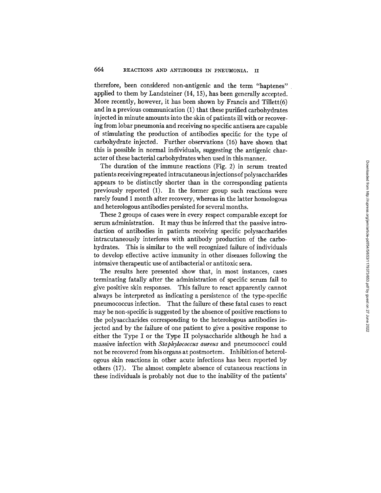therefore, been considered non-antigenic and the term *"haptenes"*  applied to them by Landsteiner (14, 15), has been generally accepted. More recently, however, it has been shown by Francis and Tillett(6) and in a previous communication (1) that these purified carbohydrates injected in minute amounts into the skin of patients ill with or recovering from lobar pneumonia and receiving no specific antisera are capable of stimulating the production of antibodies specific for the type of carbohydrafe injected. Further observations (16) have shown that this is possible in normal individuals, suggesting the antigenic character of these bacterial carbohydrates when used in this manner.

The duration of the immune reactions (Fig. 2) in serum treated patients receiving repeated intracutaneous injections of polysaccharides appears to be distinctly shorter than in the corresponding patients previously reported (1). In the former group such reactions were rarely found I month after recovery, whereas in the latter homologous and heterologous antibodies persisted for several months.

These 2 groups of cases were in every respect comparable except for serum administration. It may thus be inferred that the passive introduction of antibodies in patients receiving specific polysaccharides intracutaneously interferes with antibody production of the carbohydrates. This is similar to the well recognized failure of individuals to develop effective active immunity in other diseases following the intensive therapeutic use of antibacterial or antitoxic sera.

The results here presented show that, in most instances, cases terminating fatally after the administration of specific serum fail to give positive skin responses. This failure to react apparently cannot always be interpreted as indicating a persistence of the type-specific pneumococcus infection. That the failure of these fatal cases to react may be non-specific is suggested by the absence of positive reactions to the polysaccharides corresponding to the heterologous antibodies injected and by the failure of one patient to give a positive response to either the Type I or the Type II polysaccharide although he had a massive infection with *Staphylococcus aureus* and pneumococci could not be recovered from his organs at postmortem. Inhibition of heterologous skin reactions in other acute infections has been reported by others (17). The almost complete absence of cutaneous reactions in these individuals is probably not due to the inability of the patients'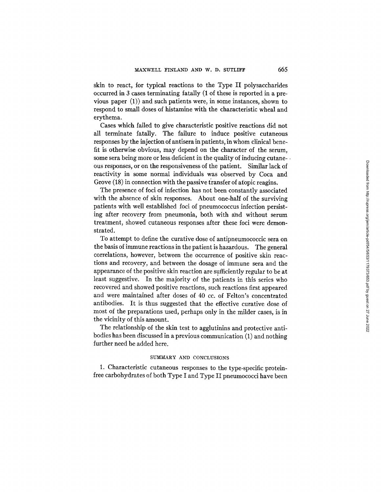skin to react, for typical reactions to the Type II polysaccharides occurred in 3 cases terminating fatally (1 of these is reported in a previous paper (1)) and such patients were, in some instances, shown to respond to small doses of histamine with the characteristic wheal and erythema.

Cases which failed to give characteristic positive reactions did not all terminate fatally. The failure to induce positive cutaneous responses by the injection of antisera in patients, in whom clinical benefit is otherwise obvious, may depend on the character of the serum, some sera being more or less deficient in the quality of inducing cutane- • ous responses, or on the responsiveness of the patient. Similar lack of reactivity in some normal individuals was observed by Coca and Grove (18) in connection with the passive transfer of afopic reagins.

The presence of foci of infection has not been constantly associated with the absence of skin responses. About one-half of the surviving patients with well established foci of pneumococcus infection persisting after recovery from pneumonia, both with and without serum treatment, showed cutaneous responses after these foci were demonstrated.

To attempt to define the curative dose of antipneumococcic sera on the basis of immune reactions in the patient is hazardous. The general correlations, however, between the occurrence of positive skin reactions and recovery, and between the dosage of immune sera and the appearance of the positive skin reaction are sufficiently regular to be at least suggestive. In the majority of the patients in this series who recovered and showed positive reactions, such reactions first appeared and were maintained after doses of 40 cc. of Felton's concentrated antibodies. It is thus suggested that the effective curative dose of most of the preparations used, perhaps only in the milder cases, is in the vicinity of this amount.

The relationship of the skin test to agglutinins and protective antibodies has been discussed in a previous communication (1) and nothing further need be added here.

### SUMMARY AND CONCLUSIONS

1. Characteristic cutaneous responses to the type-specific proteinfree carbohydrates of both Type I and Type II pneumococci have been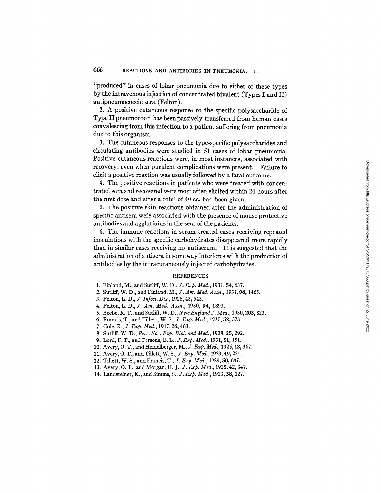"produced" in cases of lobar pneumonia due to either of these types by the intravenous injection of concentrated bivalent (Types I and II) antipneumococcic sera (Felton).

2. A positive cutaneous response to the specific polysaccharide of Type II pneumococci has been passively transferred from human cases convalescing from this infection to a patient suffering from pneumonia due to this organism.

3. The cutaneous responses to the type-specific polysaccharides and circulating antibodies were studied in 51 cases of lobar pneumonia. Positive cutaneous reactions were, in most instances, associated with recovery, even when purulent complications were present. Failure to elicit a positive reaction was usually followed by a fatal outcome.

4. The positive reactions in patients who were treated with concentrated sera and recovered were most often elicited within 24 hours after the first dose and after a total of 40 ce. had been given.

5. The positive skin reactions obtained after the administration of specific antisera were associated with the presence of mouse protective antibodies and agglutinins in the sera of the patients.

6. The immune reactions in serum treated cases receiving repeated inoculations with the specific carbohydrates disappeared more rapidly than in similar cases receiving no antiserum. It is suggested that the administration of antisera in some way interferes with the production of antibodies by the intracutaneously injected carbohydrates.

#### **REFERENCES**

- 1. Finland, M., and Sutliff, *W. D., J. Exp. Med.*, 1931, 54, 637.
- 2. Sutliff, W. D., and Finland, *M., J. Am. Med. Assn.,* 1931, *96,* 1465.
- 3. Felton, *L. D., J. Infect. Dis.,* 1928, 43, 543.
- 4. Felton, *L. D., J. Am. Med. Assn.,* 1930, *94,* 1893.
- 5. Beebe, R. T., and SutliiI, W. D., *New England J. Ivied.,* 1930, 203, 823.
- 6. Francis, T., and Tillett, *W. S., J. Exp. Med.,* 1930, 52, 573.
- 7. Cole, *R., J. Exp. Med.,* 1917, 26, 463.
- 8. Sutliff, W. D., *Proc. Soc. Exp. Biol. and Meal.,* 1928, 25, 292.
- 9. Lord, F. T., and Persons, *E. L., J. Exp. Med.,* 1931, 51,151.
- 10. Avery, O. T., and Heidelberger, *M., J. Exp. Med.,* 1925, 42, 367.
- 11. Avery, O. T., and TiUett, *W. S., J. Exp. Med.,* 1929, 49, 251.
- 12. Tillett, W. S., and Francis, *T., J. Exp. Med.,* 1929, 50, 687.
- 13. Avery, O. T., and Morgan, *H. J., J. Exp. Med.,* 1925, 42,347.
- 14. Landsteiner, K., and Simms, *S., J. Exp. Med.,* 1923, 38, 127.